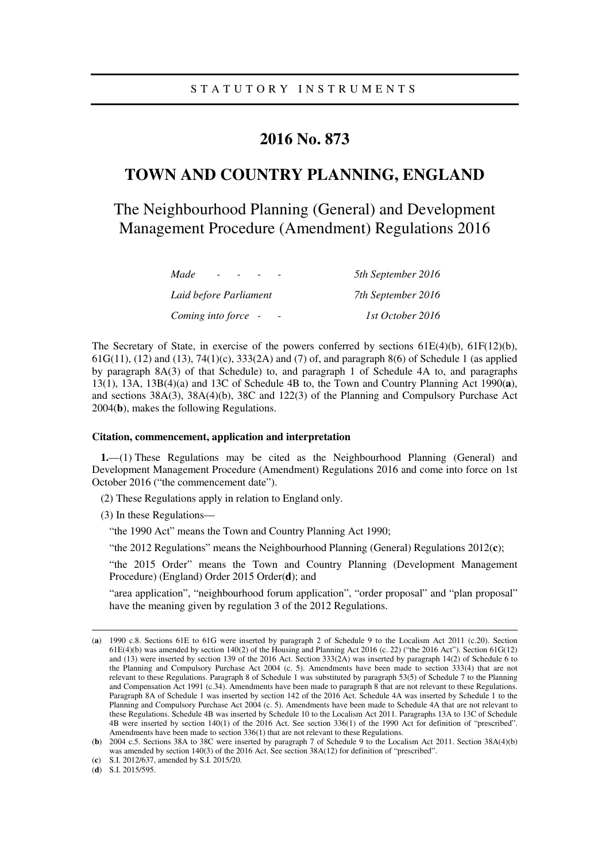# **2016 No. 873**

# **TOWN AND COUNTRY PLANNING, ENGLAND**

The Neighbourhood Planning (General) and Development Management Procedure (Amendment) Regulations 2016

| Made<br>$\overline{\phantom{0}}$ | 5th September 2016 |
|----------------------------------|--------------------|
| Laid before Parliament           | 7th September 2016 |
| Coming into force -              | 1st October 2016   |

The Secretary of State, in exercise of the powers conferred by sections  $61E(4)(b)$ ,  $61F(12)(b)$ , 61G(11), (12) and (13), 74(1)(c), 333(2A) and (7) of, and paragraph 8(6) of Schedule 1 (as applied by paragraph 8A(3) of that Schedule) to, and paragraph 1 of Schedule 4A to, and paragraphs 13(1), 13A, 13B(4)(a) and 13C of Schedule 4B to, the Town and Country Planning Act 1990(**a**), and sections 38A(3), 38A(4)(b), 38C and 122(3) of the Planning and Compulsory Purchase Act 2004(**b**), makes the following Regulations.

### **Citation, commencement, application and interpretation**

**1.**—(1) These Regulations may be cited as the Neighbourhood Planning (General) and Development Management Procedure (Amendment) Regulations 2016 and come into force on 1st October 2016 ("the commencement date").

(2) These Regulations apply in relation to England only.

(3) In these Regulations—

"the 1990 Act" means the Town and Country Planning Act 1990;

"the 2012 Regulations" means the Neighbourhood Planning (General) Regulations 2012(**c**);

"the 2015 Order" means the Town and Country Planning (Development Management Procedure) (England) Order 2015 Order(**d**); and

"area application", "neighbourhood forum application", "order proposal" and "plan proposal" have the meaning given by regulation 3 of the 2012 Regulations.

(**d**) S.I. 2015/595.

<u>.</u>

<sup>(</sup>**a**) 1990 c.8. Sections 61E to 61G were inserted by paragraph 2 of Schedule 9 to the Localism Act 2011 (c.20). Section 61E(4)(b) was amended by section 140(2) of the Housing and Planning Act 2016 (c. 22) ("the 2016 Act"). Section 61G(12) and (13) were inserted by section 139 of the 2016 Act. Section 333( $2\overline{A}$ ) was inserted by paragraph 14(2) of Schedule 6 to the Planning and Compulsory Purchase Act 2004 (c. 5). Amendments have been made to section 333(4) that are not relevant to these Regulations. Paragraph 8 of Schedule 1 was substituted by paragraph 53(5) of Schedule 7 to the Planning and Compensation Act 1991 (c.34). Amendments have been made to paragraph 8 that are not relevant to these Regulations. Paragraph 8A of Schedule 1 was inserted by section 142 of the 2016 Act. Schedule 4A was inserted by Schedule 1 to the Planning and Compulsory Purchase Act 2004 (c. 5). Amendments have been made to Schedule 4A that are not relevant to these Regulations. Schedule 4B was inserted by Schedule 10 to the Localism Act 2011. Paragraphs 13A to 13C of Schedule 4B were inserted by section 140(1) of the 2016 Act. See section 336(1) of the 1990 Act for definition of "prescribed". Amendments have been made to section 336(1) that are not relevant to these Regulations.

<sup>(</sup>**b**) 2004 c.5. Sections 38A to 38C were inserted by paragraph 7 of Schedule 9 to the Localism Act 2011. Section 38A(4)(b) was amended by section 140(3) of the 2016 Act. See section 38A(12) for definition of "prescribed".

<sup>(</sup>**c**) S.I. 2012/637, amended by S.I. 2015/20.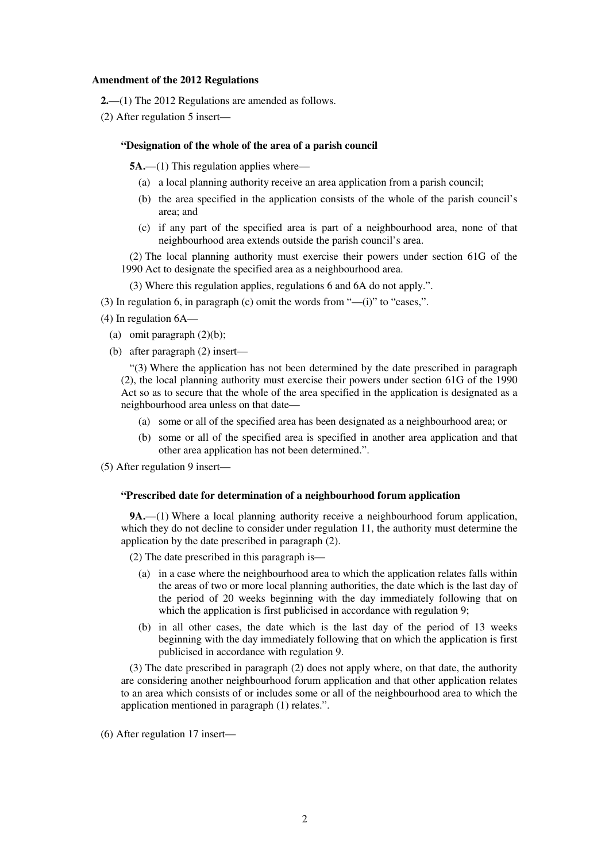### **Amendment of the 2012 Regulations**

- **2.**—(1) The 2012 Regulations are amended as follows.
- (2) After regulation 5 insert—

### **"Designation of the whole of the area of a parish council**

**5A.—(1)** This regulation applies where—

- (a) a local planning authority receive an area application from a parish council;
- (b) the area specified in the application consists of the whole of the parish council's area; and
- (c) if any part of the specified area is part of a neighbourhood area, none of that neighbourhood area extends outside the parish council's area.

(2) The local planning authority must exercise their powers under section 61G of the 1990 Act to designate the specified area as a neighbourhood area.

(3) Where this regulation applies, regulations 6 and 6A do not apply.".

- (3) In regulation 6, in paragraph (c) omit the words from  $"$ —(i)" to "cases,".
- (4) In regulation 6A—
	- (a) omit paragraph (2)(b);
	- (b) after paragraph (2) insert—

"(3) Where the application has not been determined by the date prescribed in paragraph (2), the local planning authority must exercise their powers under section 61G of the 1990 Act so as to secure that the whole of the area specified in the application is designated as a neighbourhood area unless on that date—

- (a) some or all of the specified area has been designated as a neighbourhood area; or
- (b) some or all of the specified area is specified in another area application and that other area application has not been determined.".

(5) After regulation 9 insert—

### **"Prescribed date for determination of a neighbourhood forum application**

**9A.**—(1) Where a local planning authority receive a neighbourhood forum application, which they do not decline to consider under regulation 11, the authority must determine the application by the date prescribed in paragraph (2).

(2) The date prescribed in this paragraph is—

- (a) in a case where the neighbourhood area to which the application relates falls within the areas of two or more local planning authorities, the date which is the last day of the period of 20 weeks beginning with the day immediately following that on which the application is first publicised in accordance with regulation 9;
- (b) in all other cases, the date which is the last day of the period of 13 weeks beginning with the day immediately following that on which the application is first publicised in accordance with regulation 9.

(3) The date prescribed in paragraph (2) does not apply where, on that date, the authority are considering another neighbourhood forum application and that other application relates to an area which consists of or includes some or all of the neighbourhood area to which the application mentioned in paragraph (1) relates.".

(6) After regulation 17 insert—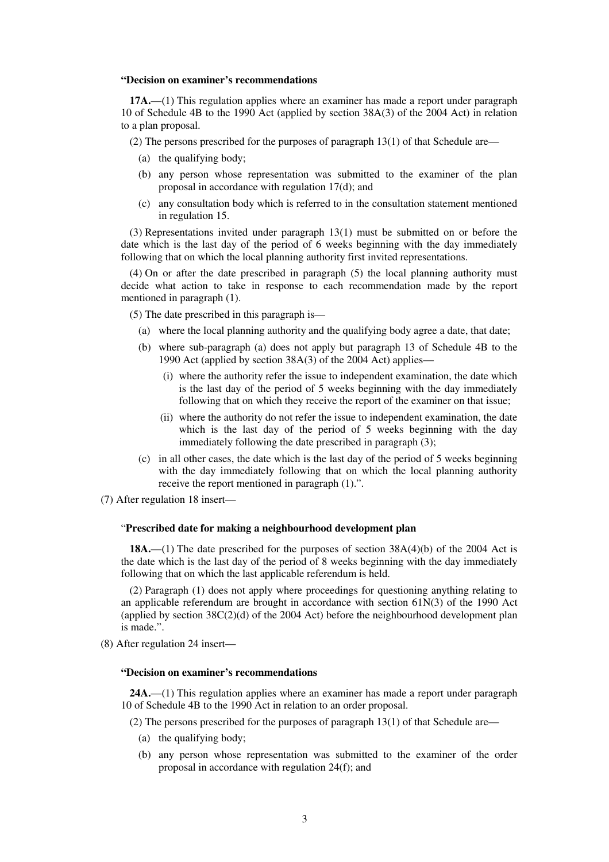#### **"Decision on examiner's recommendations**

**17A.**—(1) This regulation applies where an examiner has made a report under paragraph 10 of Schedule 4B to the 1990 Act (applied by section 38A(3) of the 2004 Act) in relation to a plan proposal.

(2) The persons prescribed for the purposes of paragraph 13(1) of that Schedule are—

- (a) the qualifying body;
- (b) any person whose representation was submitted to the examiner of the plan proposal in accordance with regulation 17(d); and
- (c) any consultation body which is referred to in the consultation statement mentioned in regulation 15.

(3) Representations invited under paragraph 13(1) must be submitted on or before the date which is the last day of the period of 6 weeks beginning with the day immediately following that on which the local planning authority first invited representations.

(4) On or after the date prescribed in paragraph (5) the local planning authority must decide what action to take in response to each recommendation made by the report mentioned in paragraph (1).

(5) The date prescribed in this paragraph is—

- (a) where the local planning authority and the qualifying body agree a date, that date;
- (b) where sub-paragraph (a) does not apply but paragraph 13 of Schedule 4B to the 1990 Act (applied by section 38A(3) of the 2004 Act) applies—
	- (i) where the authority refer the issue to independent examination, the date which is the last day of the period of 5 weeks beginning with the day immediately following that on which they receive the report of the examiner on that issue;
	- (ii) where the authority do not refer the issue to independent examination, the date which is the last day of the period of 5 weeks beginning with the day immediately following the date prescribed in paragraph (3);
- (c) in all other cases, the date which is the last day of the period of 5 weeks beginning with the day immediately following that on which the local planning authority receive the report mentioned in paragraph (1).".
- (7) After regulation 18 insert—

### "**Prescribed date for making a neighbourhood development plan**

**18A.**—(1) The date prescribed for the purposes of section 38A(4)(b) of the 2004 Act is the date which is the last day of the period of 8 weeks beginning with the day immediately following that on which the last applicable referendum is held.

(2) Paragraph (1) does not apply where proceedings for questioning anything relating to an applicable referendum are brought in accordance with section 61N(3) of the 1990 Act (applied by section  $38C(2)(d)$  of the 2004 Act) before the neighbourhood development plan is made.".

(8) After regulation 24 insert—

### **"Decision on examiner's recommendations**

**24A.**—(1) This regulation applies where an examiner has made a report under paragraph 10 of Schedule 4B to the 1990 Act in relation to an order proposal.

(2) The persons prescribed for the purposes of paragraph 13(1) of that Schedule are—

- (a) the qualifying body;
- (b) any person whose representation was submitted to the examiner of the order proposal in accordance with regulation 24(f); and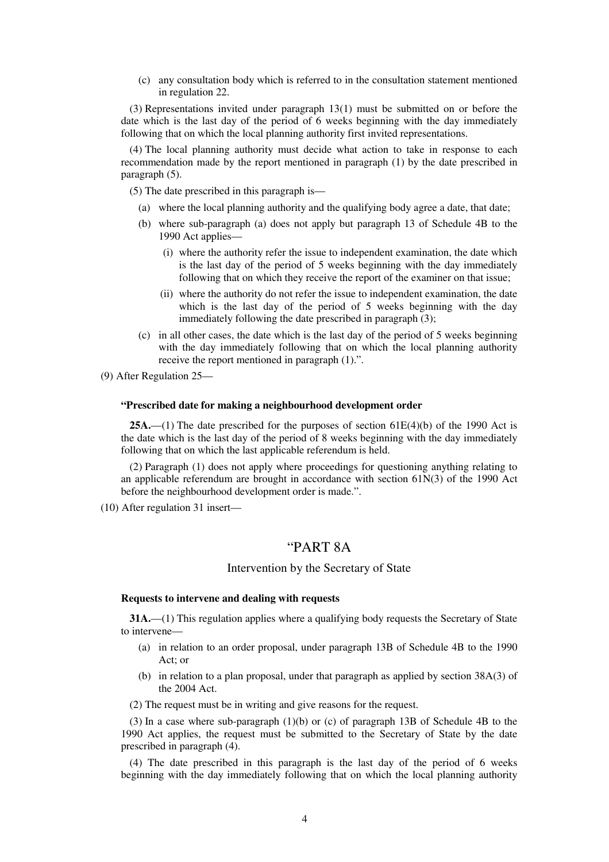(c) any consultation body which is referred to in the consultation statement mentioned in regulation 22.

(3) Representations invited under paragraph 13(1) must be submitted on or before the date which is the last day of the period of 6 weeks beginning with the day immediately following that on which the local planning authority first invited representations.

(4) The local planning authority must decide what action to take in response to each recommendation made by the report mentioned in paragraph (1) by the date prescribed in paragraph (5).

(5) The date prescribed in this paragraph is—

- (a) where the local planning authority and the qualifying body agree a date, that date;
- (b) where sub-paragraph (a) does not apply but paragraph 13 of Schedule 4B to the 1990 Act applies—
	- (i) where the authority refer the issue to independent examination, the date which is the last day of the period of 5 weeks beginning with the day immediately following that on which they receive the report of the examiner on that issue;
	- (ii) where the authority do not refer the issue to independent examination, the date which is the last day of the period of 5 weeks beginning with the day immediately following the date prescribed in paragraph (3);
- (c) in all other cases, the date which is the last day of the period of 5 weeks beginning with the day immediately following that on which the local planning authority receive the report mentioned in paragraph (1).".

(9) After Regulation 25—

### **"Prescribed date for making a neighbourhood development order**

**25A.**—(1) The date prescribed for the purposes of section  $61E(4)(b)$  of the 1990 Act is the date which is the last day of the period of 8 weeks beginning with the day immediately following that on which the last applicable referendum is held.

(2) Paragraph (1) does not apply where proceedings for questioning anything relating to an applicable referendum are brought in accordance with section 61N(3) of the 1990 Act before the neighbourhood development order is made.".

(10) After regulation 31 insert—

# "PART 8A

### Intervention by the Secretary of State

# **Requests to intervene and dealing with requests**

**31A.**—(1) This regulation applies where a qualifying body requests the Secretary of State to intervene—

- (a) in relation to an order proposal, under paragraph 13B of Schedule 4B to the 1990 Act; or
- (b) in relation to a plan proposal, under that paragraph as applied by section 38A(3) of the 2004 Act.
- (2) The request must be in writing and give reasons for the request.

(3) In a case where sub-paragraph (1)(b) or (c) of paragraph 13B of Schedule 4B to the 1990 Act applies, the request must be submitted to the Secretary of State by the date prescribed in paragraph (4).

(4) The date prescribed in this paragraph is the last day of the period of 6 weeks beginning with the day immediately following that on which the local planning authority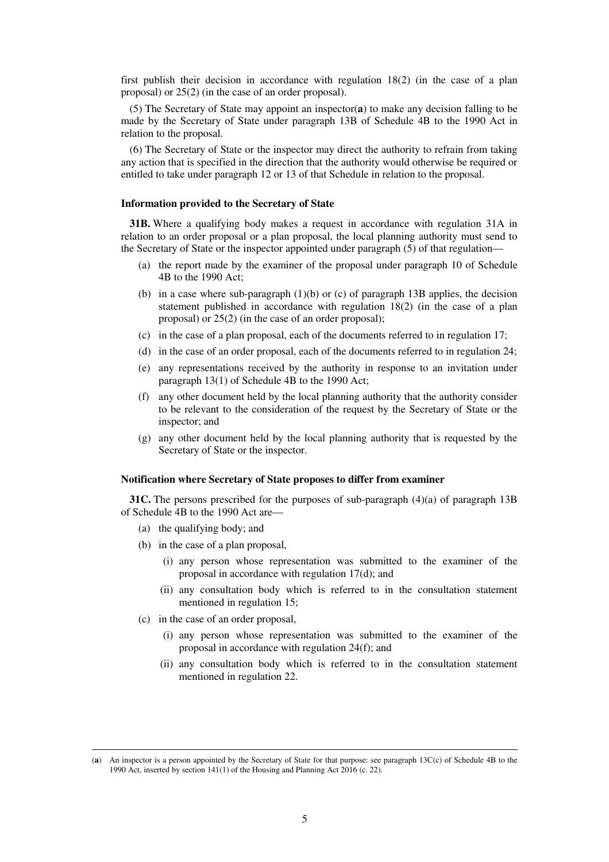first publish their decision in accordance with regulation 18(2) (in the case of a plan proposal) or 25(2) (in the case of an order proposal).

(5) The Secretary of State may appoint an inspector(**a**) to make any decision falling to be made by the Secretary of State under paragraph 13B of Schedule 4B to the 1990 Act in relation to the proposal.

(6) The Secretary of State or the inspector may direct the authority to refrain from taking any action that is specified in the direction that the authority would otherwise be required or entitled to take under paragraph 12 or 13 of that Schedule in relation to the proposal.

### **Information provided to the Secretary of State**

**31B.** Where a qualifying body makes a request in accordance with regulation 31A in relation to an order proposal or a plan proposal, the local planning authority must send to the Secretary of State or the inspector appointed under paragraph (5) of that regulation—

- (a) the report made by the examiner of the proposal under paragraph 10 of Schedule 4B to the 1990 Act;
- (b) in a case where sub-paragraph  $(1)(b)$  or (c) of paragraph 13B applies, the decision statement published in accordance with regulation 18(2) (in the case of a plan proposal) or 25(2) (in the case of an order proposal);
- (c) in the case of a plan proposal, each of the documents referred to in regulation 17;
- (d) in the case of an order proposal, each of the documents referred to in regulation 24;
- (e) any representations received by the authority in response to an invitation under paragraph 13(1) of Schedule 4B to the 1990 Act;
- (f) any other document held by the local planning authority that the authority consider to be relevant to the consideration of the request by the Secretary of State or the inspector; and
- (g) any other document held by the local planning authority that is requested by the Secretary of State or the inspector.

### **Notification where Secretary of State proposes to differ from examiner**

**31C.** The persons prescribed for the purposes of sub-paragraph (4)(a) of paragraph 13B of Schedule 4B to the 1990 Act are—

- (a) the qualifying body; and
- (b) in the case of a plan proposal,
	- (i) any person whose representation was submitted to the examiner of the proposal in accordance with regulation 17(d); and
	- (ii) any consultation body which is referred to in the consultation statement mentioned in regulation 15;
- (c) in the case of an order proposal,

<u>.</u>

- (i) any person whose representation was submitted to the examiner of the proposal in accordance with regulation 24(f); and
- (ii) any consultation body which is referred to in the consultation statement mentioned in regulation 22.

<sup>(</sup>**a**) An inspector is a person appointed by the Secretary of State for that purpose: see paragraph 13C(c) of Schedule 4B to the 1990 Act, inserted by section 141(1) of the Housing and Planning Act 2016 (c. 22).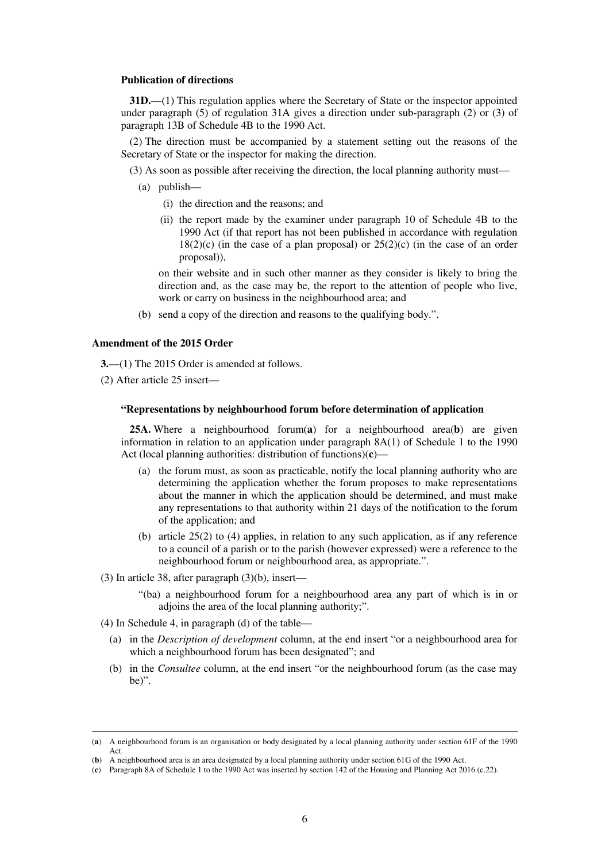### **Publication of directions**

**31D.**—(1) This regulation applies where the Secretary of State or the inspector appointed under paragraph (5) of regulation 31A gives a direction under sub-paragraph (2) or (3) of paragraph 13B of Schedule 4B to the 1990 Act.

(2) The direction must be accompanied by a statement setting out the reasons of the Secretary of State or the inspector for making the direction.

(3) As soon as possible after receiving the direction, the local planning authority must—

- (a) publish—
	- (i) the direction and the reasons; and
	- (ii) the report made by the examiner under paragraph 10 of Schedule 4B to the 1990 Act (if that report has not been published in accordance with regulation  $18(2)(c)$  (in the case of a plan proposal) or  $25(2)(c)$  (in the case of an order proposal)),

on their website and in such other manner as they consider is likely to bring the direction and, as the case may be, the report to the attention of people who live, work or carry on business in the neighbourhood area; and

(b) send a copy of the direction and reasons to the qualifying body.".

## **Amendment of the 2015 Order**

**3.**—(1) The 2015 Order is amended at follows.

(2) After article 25 insert—

## **"Representations by neighbourhood forum before determination of application**

**25A.** Where a neighbourhood forum(**a**) for a neighbourhood area(**b**) are given information in relation to an application under paragraph 8A(1) of Schedule 1 to the 1990 Act (local planning authorities: distribution of functions)(**c**)—

- (a) the forum must, as soon as practicable, notify the local planning authority who are determining the application whether the forum proposes to make representations about the manner in which the application should be determined, and must make any representations to that authority within 21 days of the notification to the forum of the application; and
- (b) article 25(2) to (4) applies, in relation to any such application, as if any reference to a council of a parish or to the parish (however expressed) were a reference to the neighbourhood forum or neighbourhood area, as appropriate.".
- (3) In article 38, after paragraph (3)(b), insert—
	- "(ba) a neighbourhood forum for a neighbourhood area any part of which is in or adjoins the area of the local planning authority;".
- (4) In Schedule 4, in paragraph (d) of the table—

<u>.</u>

- (a) in the *Description of development* column, at the end insert "or a neighbourhood area for which a neighbourhood forum has been designated"; and
- (b) in the *Consultee* column, at the end insert "or the neighbourhood forum (as the case may be)".

<sup>(</sup>**a**) A neighbourhood forum is an organisation or body designated by a local planning authority under section 61F of the 1990 Act.

<sup>(</sup>**b**) A neighbourhood area is an area designated by a local planning authority under section 61G of the 1990 Act.

<sup>(</sup>**c**) Paragraph 8A of Schedule 1 to the 1990 Act was inserted by section 142 of the Housing and Planning Act 2016 (c.22).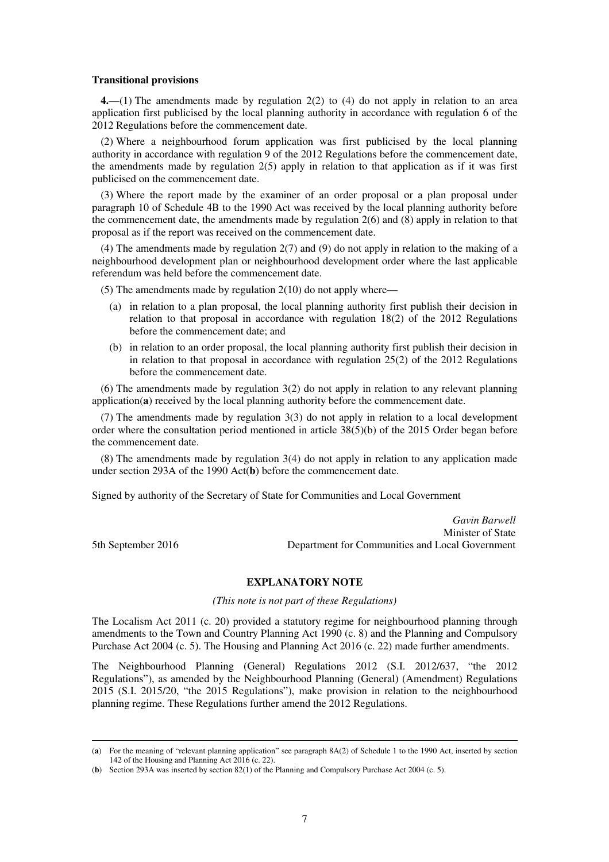### **Transitional provisions**

**4.**—(1) The amendments made by regulation 2(2) to (4) do not apply in relation to an area application first publicised by the local planning authority in accordance with regulation 6 of the 2012 Regulations before the commencement date.

(2) Where a neighbourhood forum application was first publicised by the local planning authority in accordance with regulation 9 of the 2012 Regulations before the commencement date, the amendments made by regulation  $2(5)$  apply in relation to that application as if it was first publicised on the commencement date.

(3) Where the report made by the examiner of an order proposal or a plan proposal under paragraph 10 of Schedule 4B to the 1990 Act was received by the local planning authority before the commencement date, the amendments made by regulation 2(6) and (8) apply in relation to that proposal as if the report was received on the commencement date.

(4) The amendments made by regulation 2(7) and (9) do not apply in relation to the making of a neighbourhood development plan or neighbourhood development order where the last applicable referendum was held before the commencement date.

(5) The amendments made by regulation  $2(10)$  do not apply where—

- (a) in relation to a plan proposal, the local planning authority first publish their decision in relation to that proposal in accordance with regulation 18(2) of the 2012 Regulations before the commencement date; and
- (b) in relation to an order proposal, the local planning authority first publish their decision in in relation to that proposal in accordance with regulation  $25(2)$  of the 2012 Regulations before the commencement date.

(6) The amendments made by regulation 3(2) do not apply in relation to any relevant planning application(**a**) received by the local planning authority before the commencement date.

(7) The amendments made by regulation 3(3) do not apply in relation to a local development order where the consultation period mentioned in article 38(5)(b) of the 2015 Order began before the commencement date.

(8) The amendments made by regulation 3(4) do not apply in relation to any application made under section 293A of the 1990 Act(**b**) before the commencement date.

Signed by authority of the Secretary of State for Communities and Local Government

*Gavin Barwell* Minister of State 5th September 2016 Department for Communities and Local Government

<u>.</u>

**EXPLANATORY NOTE** 

*(This note is not part of these Regulations)* 

The Localism Act 2011 (c. 20) provided a statutory regime for neighbourhood planning through amendments to the Town and Country Planning Act 1990 (c. 8) and the Planning and Compulsory Purchase Act 2004 (c. 5). The Housing and Planning Act 2016 (c. 22) made further amendments.

The Neighbourhood Planning (General) Regulations 2012 (S.I. 2012/637, "the 2012 Regulations"), as amended by the Neighbourhood Planning (General) (Amendment) Regulations 2015 (S.I. 2015/20, "the 2015 Regulations"), make provision in relation to the neighbourhood planning regime. These Regulations further amend the 2012 Regulations.

<sup>(</sup>**a**) For the meaning of "relevant planning application" see paragraph 8A(2) of Schedule 1 to the 1990 Act, inserted by section 142 of the Housing and Planning Act 2016 (c. 22).

<sup>(</sup>**b**) Section 293A was inserted by section 82(1) of the Planning and Compulsory Purchase Act 2004 (c. 5).